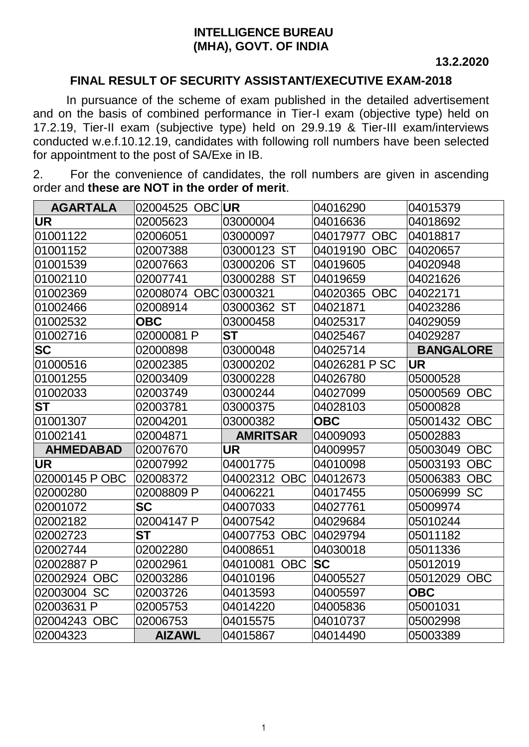## **INTELLIGENCE BUREAU (MHA), GOVT. OF INDIA**

 **13.2.2020**

## **FINAL RESULT OF SECURITY ASSISTANT/EXECUTIVE EXAM-2018**

In pursuance of the scheme of exam published in the detailed advertisement and on the basis of combined performance in Tier-I exam (objective type) held on 17.2.19, Tier-II exam (subjective type) held on 29.9.19 & Tier-III exam/interviews conducted w.e.f.10.12.19, candidates with following roll numbers have been selected for appointment to the post of SA/Exe in IB.

2. For the convenience of candidates, the roll numbers are given in ascending order and **these are NOT in the order of merit**.

| <b>AGARTALA</b>       | 02004525 OBC UR       |                        | 04016290               | 04015379               |
|-----------------------|-----------------------|------------------------|------------------------|------------------------|
| UR.                   | 02005623              | 03000004               | 04016636               | 04018692               |
| 01001122              | 02006051              | 03000097               | 04017977 OBC           | 04018817               |
| 01001152              | 02007388              | 03000123 ST            | 04019190<br><b>OBC</b> | 04020657               |
| 01001539              | 02007663              | 03000206 ST            | 04019605               | 04020948               |
| 01002110              | 02007741              | 03000288 ST            | 04019659               | 04021626               |
| 01002369              | 02008074 OBC 03000321 |                        | 04020365 OBC           | 04022171               |
| 01002466              | 02008914              | 03000362 ST            | 04021871               | 04023286               |
| 01002532              | <b>OBC</b>            | 03000458               | 04025317               | 04029059               |
| 01002716              | 02000081 P            | ST                     | 04025467               | 04029287               |
| <b>SC</b>             | 02000898              | 03000048               | 04025714               | <b>BANGALORE</b>       |
| 01000516              | 02002385              | 03000202               | 04026281 P SC          | <b>UR</b>              |
| 01001255              | 02003409              | 03000228               | 04026780               | 05000528               |
| 01002033              | 02003749              | 03000244               | 04027099               | 05000569 OBC           |
| ST                    | 02003781              | 03000375               | 04028103               | 05000828               |
| 01001307              | 02004201              | 03000382               | <b>OBC</b>             | 05001432 OBC           |
| 01002141              | 02004871              | <b>AMRITSAR</b>        | 04009093               | 05002883               |
| <b>AHMEDABAD</b>      | 02007670              | <b>UR</b>              | 04009957               | 05003049<br><b>OBC</b> |
| <b>UR</b>             | 02007992              | 04001775               | 04010098               | 05003193<br><b>OBC</b> |
| 02000145 P OBC        | 02008372              | 04002312 OBC           | 04012673               | 05006383 OBC           |
| 02000280              | 02008809 P            | 04006221               | 04017455               | 05006999 SC            |
| 02001072              | <b>SC</b>             | 04007033               | 04027761               | 05009974               |
| 02002182              | 02004147 P            | 04007542               | 04029684               | 05010244               |
| 02002723              | <b>ST</b>             | 04007753 OBC           | 04029794               | 05011182               |
| 02002744              | 02002280              | 04008651               | 04030018               | 05011336               |
| 02002887 P            | 02002961              | <b>OBC</b><br>04010081 | <b>SC</b>              | 05012019               |
| 02002924 OBC          | 02003286              | 04010196               | 04005527               | 05012029 OBC           |
| <b>SC</b><br>02003004 | 02003726              | 04013593               | 04005597               | <b>OBC</b>             |
| 02003631 P            | 02005753              | 04014220               | 04005836               | 05001031               |
| 02004243 OBC          | 02006753              | 04015575               | 04010737               | 05002998               |
| 02004323              | <b>AIZAWL</b>         | 04015867               | 04014490               | 05003389               |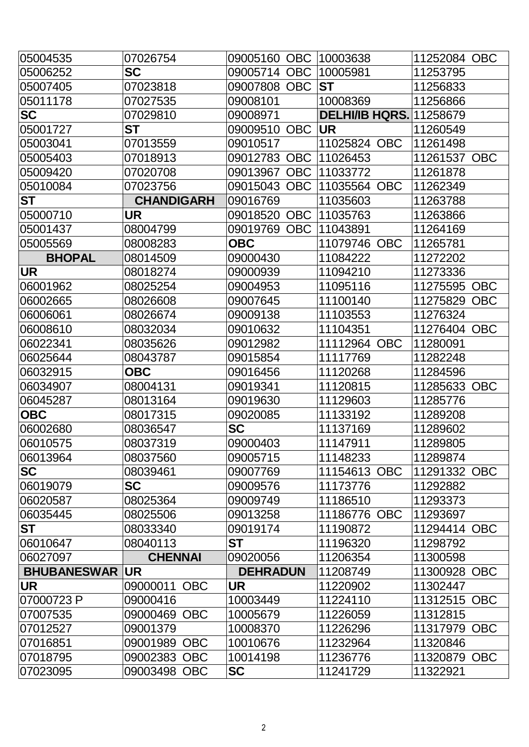| 05004535              | 07026754          | <b>OBC</b><br>09005160 | 10003638                       | 11252084 OBC           |
|-----------------------|-------------------|------------------------|--------------------------------|------------------------|
| 05006252              | <b>SC</b>         | 09005714<br><b>OBC</b> | 10005981                       | 11253795               |
| 05007405              | 07023818          | <b>OBC</b><br>09007808 | <b>ST</b>                      | 11256833               |
| 05011178              | 07027535          | 09008101               | 10008369                       | 11256866               |
| <b>SC</b>             | 07029810          | 09008971               | <b>DELHI/IB HQRS.</b> 11258679 |                        |
| 05001727              | <b>ST</b>         | 09009510<br><b>OBC</b> | <b>UR</b>                      | 11260549               |
| 05003041              | 07013559          | 09010517               | 11025824 OBC                   | 11261498               |
| 05005403              | 07018913          | 09012783               | OBC  11026453                  | 11261537 OBC           |
| 05009420              | 07020708          | 09013967               | OBC   11033772                 | 11261878               |
| 05010084              | 07023756          | 09015043<br><b>OBC</b> | 11035564 OBC                   | 11262349               |
| <b>ST</b>             | <b>CHANDIGARH</b> | 09016769               | 11035603                       | 11263788               |
| 05000710              | UR                | 09018520<br><b>OBC</b> | 11035763                       | 11263866               |
| 05001437              | 08004799          | 09019769<br><b>OBC</b> | 11043891                       | 11264169               |
| 05005569              | 08008283          | <b>OBC</b>             | 11079746 OBC                   | 11265781               |
| <b>BHOPAL</b>         | 08014509          | 09000430               | 11084222                       | 11272202               |
| <b>UR</b>             | 08018274          | 09000939               | 11094210                       | 11273336               |
| 06001962              | 08025254          | 09004953               | 11095116                       | 11275595 OBC           |
| 06002665              | 08026608          | 09007645               | 11100140                       | 11275829 OBC           |
| 06006061              | 08026674          | 09009138               | 11103553                       | 11276324               |
| 06008610              | 08032034          | 09010632               | 11104351                       | 11276404 OBC           |
| 06022341              | 08035626          | 09012982               | 11112964 OBC                   | 11280091               |
| 06025644              | 08043787          | 09015854               | 11117769                       | 11282248               |
| 06032915              | <b>OBC</b>        | 09016456               | 11120268                       | 11284596               |
| 06034907              | 08004131          | 09019341               | 11120815                       | 11285633 OBC           |
| 06045287              | 08013164          | 09019630               | 11129603                       | 11285776               |
| <b>OBC</b>            | 08017315          | 09020085               | 11133192                       | 11289208               |
| 06002680              | 08036547          | <b>SC</b>              | 11137169                       | 11289602               |
| 06010575              | 08037319          | 09000403               | 11147911                       | 11289805               |
| 06013964              | 08037560          | 09005715               | 11148233                       | 11289874               |
| <b>SC</b>             | 08039461          | 09007769               | 11154613 OBC                   | 11291332 OBC           |
| 06019079              | <b>SC</b>         | 09009576               | 11173776                       | 11292882               |
| 06020587              | 08025364          | 09009749               | 11186510                       | 11293373               |
| 06035445              | 08025506          | 09013258               | 11186776 OBC                   | 11293697               |
| <b>ST</b>             | 08033340          | 09019174               | 11190872                       | 11294414 OBC           |
| 06010647              | 08040113          | <b>ST</b>              | 11196320                       | 11298792               |
| 06027097              | <b>CHENNAI</b>    | 09020056               | 11206354                       | 11300598               |
| <b>BHUBANESWAR UR</b> |                   | <b>DEHRADUN</b>        | 11208749                       | 11300928 OBC           |
| <b>UR</b>             | 09000011 OBC      | <b>UR</b>              | 11220902                       | 11302447               |
| 07000723 P            | 09000416          | 10003449               | 11224110                       | 11312515 OBC           |
| 07007535              | 09000469 OBC      | 10005679               | 11226059                       | 11312815               |
| 07012527              | 09001379          | 10008370               | 11226296                       | 11317979<br><b>OBC</b> |
| 07016851              | 09001989 OBC      | 10010676               | 11232964                       | 11320846               |
| 07018795              | 09002383 OBC      | 10014198               | 11236776                       | 11320879 OBC           |
| 07023095              | 09003498 OBC      | <b>SC</b>              | 11241729                       | 11322921               |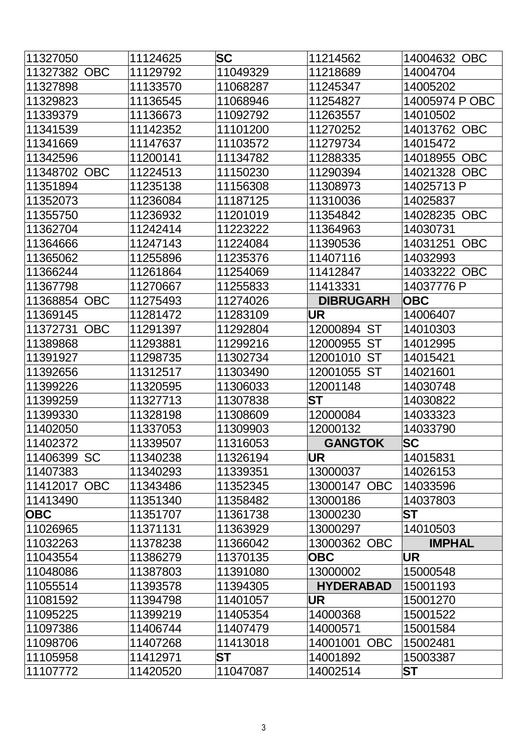| 11327050     | 11124625 | <b>SC</b> | 11214562              | 14004632 OBC           |
|--------------|----------|-----------|-----------------------|------------------------|
| 11327382 OBC | 11129792 | 11049329  | 11218689              | 14004704               |
| 11327898     | 11133570 | 11068287  | 11245347              | 14005202               |
| 11329823     | 11136545 | 11068946  | 11254827              | 14005974 P OBC         |
| 11339379     | 11136673 | 11092792  | 11263557              | 14010502               |
| 11341539     | 11142352 | 11101200  | 11270252              | 14013762 OBC           |
| 11341669     | 11147637 | 11103572  | 11279734              | 14015472               |
| 11342596     | 11200141 | 11134782  | 11288335              | 14018955 OBC           |
| 11348702 OBC | 11224513 | 11150230  | 11290394              | 14021328 OBC           |
| 11351894     | 11235138 | 11156308  | 11308973              | 14025713 P             |
| 11352073     | 11236084 | 11187125  | 11310036              | 14025837               |
| 11355750     | 11236932 | 11201019  | 11354842              | <b>OBC</b><br>14028235 |
| 11362704     | 11242414 | 11223222  | 11364963              | 14030731               |
| 11364666     | 11247143 | 11224084  | 11390536              | <b>OBC</b><br>14031251 |
| 11365062     | 11255896 | 11235376  | 11407116              | 14032993               |
| 11366244     | 11261864 | 11254069  | 11412847              | 14033222 OBC           |
| 11367798     | 11270667 | 11255833  | 11413331              | 14037776 P             |
| 11368854 OBC | 11275493 | 11274026  | <b>DIBRUGARH</b>      | <b>OBC</b>             |
| 11369145     | 11281472 | 11283109  | <b>UR</b>             | 14006407               |
| 11372731 OBC | 11291397 | 11292804  | 12000894 ST           | 14010303               |
| 11389868     | 11293881 | 11299216  | <b>ST</b><br>12000955 | 14012995               |
| 11391927     | 11298735 | 11302734  | 12001010 ST           | 14015421               |
| 11392656     | 11312517 | 11303490  | 12001055 ST           | 14021601               |
| 11399226     | 11320595 | 11306033  | 12001148              | 14030748               |
| 11399259     | 11327713 | 11307838  | ST                    | 14030822               |
| 11399330     | 11328198 | 11308609  | 12000084              | 14033323               |
| 11402050     | 11337053 | 11309903  | 12000132              | 14033790               |
| 11402372     | 11339507 | 11316053  | <b>GANGTOK</b>        | <b>SC</b>              |
| 11406399 SC  | 11340238 | 11326194  | UR                    | 14015831               |
| 11407383     | 11340293 | 11339351  | 13000037              | 14026153               |
| 11412017 OBC | 11343486 | 11352345  | 13000147 OBC          | 14033596               |
| 11413490     | 11351340 | 11358482  | 13000186              | 14037803               |
| <b>OBC</b>   | 11351707 | 11361738  | 13000230              | <b>ST</b>              |
| 11026965     | 11371131 | 11363929  | 13000297              | 14010503               |
| 11032263     | 11378238 | 11366042  | 13000362 OBC          | <b>IMPHAL</b>          |
| 11043554     | 11386279 | 11370135  | <b>OBC</b>            | UR                     |
| 11048086     | 11387803 | 11391080  | 13000002              | 15000548               |
| 11055514     | 11393578 | 11394305  | <b>HYDERABAD</b>      | 15001193               |
| 11081592     | 11394798 | 11401057  | UR                    | 15001270               |
| 11095225     | 11399219 | 11405354  | 14000368              | 15001522               |
| 11097386     | 11406744 | 11407479  | 14000571              | 15001584               |
| 11098706     | 11407268 | 11413018  | 14001001 OBC          | 15002481               |
| 11105958     | 11412971 | ST        | 14001892              | 15003387               |
| 11107772     | 11420520 | 11047087  | 14002514              | <b>ST</b>              |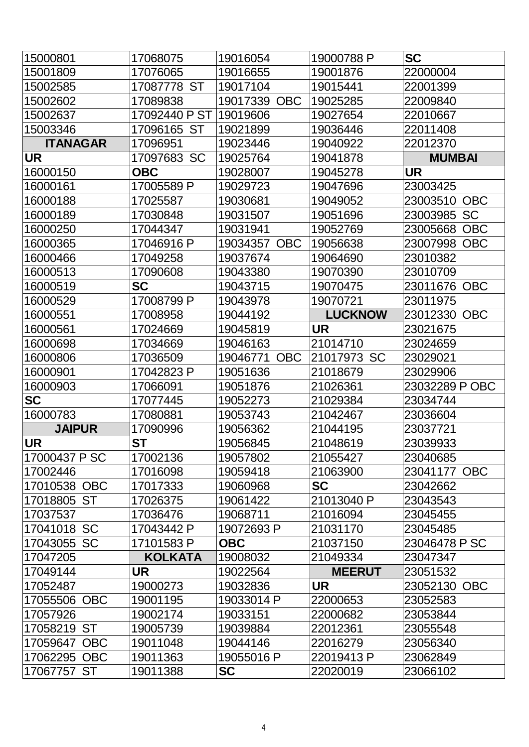| 15000801        | 17068075       | 19016054               | 19000788 P            | <b>SC</b>              |
|-----------------|----------------|------------------------|-----------------------|------------------------|
| 15001809        | 17076065       | 19016655               | 19001876              | 22000004               |
| 15002585        | 17087778 ST    | 19017104               | 19015441              | 22001399               |
| 15002602        | 17089838       | <b>OBC</b><br>19017339 | 19025285              | 22009840               |
| 15002637        | 17092440 P ST  | 19019606               | 19027654              | 22010667               |
| 15003346        | 17096165 ST    | 19021899               | 19036446              | 22011408               |
| <b>ITANAGAR</b> | 17096951       | 19023446               | 19040922              | 22012370               |
| <b>UR</b>       | 17097683 SC    | 19025764               | 19041878              | <b>MUMBAI</b>          |
| 16000150        | <b>OBC</b>     | 19028007               | 19045278              | <b>UR</b>              |
| 16000161        | 17005589 P     | 19029723               | 19047696              | 23003425               |
| 16000188        | 17025587       | 19030681               | 19049052              | 23003510<br><b>OBC</b> |
| 16000189        | 17030848       | 19031507               | 19051696              | <b>SC</b><br>23003985  |
| 16000250        | 17044347       | 19031941               | 19052769              | 23005668<br><b>OBC</b> |
| 16000365        | 17046916 P     | 19034357 OBC           | 19056638              | 23007998<br><b>OBC</b> |
| 16000466        | 17049258       | 19037674               | 19064690              | 23010382               |
| 16000513        | 17090608       | 19043380               | 19070390              | 23010709               |
| 16000519        | <b>SC</b>      | 19043715               | 19070475              | 23011676 OBC           |
| 16000529        | 17008799 P     | 19043978               | 19070721              | 23011975               |
| 16000551        | 17008958       | 19044192               | <b>LUCKNOW</b>        | <b>OBC</b><br>23012330 |
| 16000561        | 17024669       | 19045819               | <b>UR</b>             | 23021675               |
| 16000698        | 17034669       | 19046163               | 21014710              | 23024659               |
| 16000806        | 17036509       | <b>OBC</b><br>19046771 | <b>SC</b><br>21017973 | 23029021               |
| 16000901        | 17042823 P     | 19051636               | 21018679              | 23029906               |
| 16000903        | 17066091       | 19051876               | 21026361              | 23032289 P OBC         |
| <b>SC</b>       | 17077445       | 19052273               | 21029384              | 23034744               |
| 16000783        | 17080881       | 19053743               | 21042467              | 23036604               |
| <b>JAIPUR</b>   | 17090996       | 19056362               | 21044195              | 23037721               |
| <b>UR</b>       | ST             | 19056845               | 21048619              | 23039933               |
| 17000437 P SC   | 17002136       | 19057802               | 21055427              | 23040685               |
| 17002446        | 17016098       | 19059418               | 21063900              | 23041177 OBC           |
| 17010538 OBC    | 17017333       | 19060968               | <b>SC</b>             | 23042662               |
| 17018805 ST     | 17026375       | 19061422               | 21013040 P            | 23043543               |
| 17037537        | 17036476       | 19068711               | 21016094              | 23045455               |
| 17041018 SC     | 17043442 P     | 19072693 P             | 21031170              | 23045485               |
| 17043055 SC     | 17101583 P     | <b>OBC</b>             | 21037150              | 23046478 P SC          |
| 17047205        | <b>KOLKATA</b> | 19008032               | 21049334              | 23047347               |
| 17049144        | UR             | 19022564               | <b>MEERUT</b>         | 23051532               |
| 17052487        | 19000273       | 19032836               | <b>UR</b>             | 23052130 OBC           |
| 17055506 OBC    | 19001195       | 19033014 P             | 22000653              | 23052583               |
| 17057926        | 19002174       | 19033151               | 22000682              | 23053844               |
| 17058219 ST     | 19005739       | 19039884               | 22012361              | 23055548               |
| 17059647 OBC    | 19011048       | 19044146               | 22016279              | 23056340               |
| 17062295 OBC    | 19011363       | 19055016 P             | 22019413 P            | 23062849               |
| 17067757 ST     | 19011388       | <b>SC</b>              | 22020019              | 23066102               |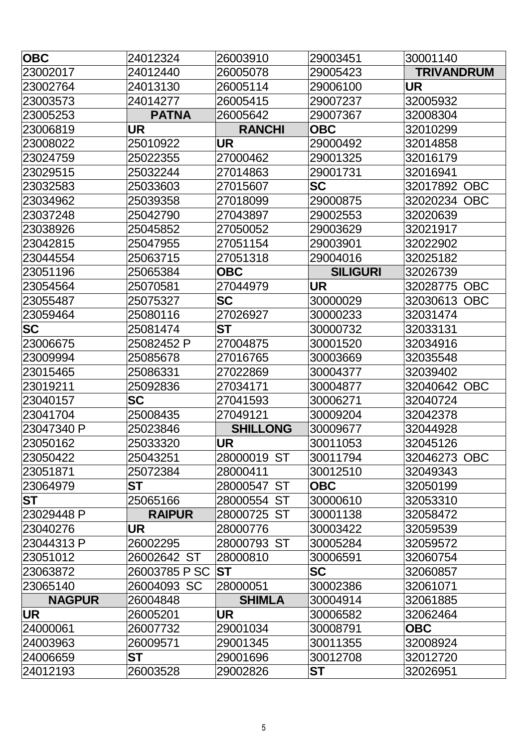| <b>OBC</b>    | 24012324                  | 26003910        | 29003451        | 30001140               |
|---------------|---------------------------|-----------------|-----------------|------------------------|
| 23002017      | 24012440                  | 26005078        | 29005423        | <b>TRIVANDRUM</b>      |
| 23002764      | 24013130                  | 26005114        | 29006100        | UR                     |
| 23003573      | 24014277                  | 26005415        | 29007237        | 32005932               |
| 23005253      | <b>PATNA</b>              | 26005642        | 29007367        | 32008304               |
| 23006819      | UR                        | <b>RANCHI</b>   | <b>OBC</b>      | 32010299               |
| 23008022      | 25010922                  | <b>UR</b>       | 29000492        | 32014858               |
| 23024759      | 25022355                  | 27000462        | 29001325        | 32016179               |
| 23029515      | 25032244                  | 27014863        | 29001731        | 32016941               |
| 23032583      | 25033603                  | 27015607        | <b>SC</b>       | 32017892<br><b>OBC</b> |
| 23034962      | 25039358                  | 27018099        | 29000875        | 32020234<br><b>OBC</b> |
| 23037248      | 25042790                  | 27043897        | 29002553        | 32020639               |
| 23038926      | 25045852                  | 27050052        | 29003629        | 32021917               |
| 23042815      | 25047955                  | 27051154        | 29003901        | 32022902               |
| 23044554      | 25063715                  | 27051318        | 29004016        | 32025182               |
| 23051196      | 25065384                  | <b>OBC</b>      | <b>SILIGURI</b> | 32026739               |
| 23054564      | 25070581                  | 27044979        | <b>UR</b>       | 32028775 OBC           |
| 23055487      | 25075327                  | <b>SC</b>       | 30000029        | 32030613<br><b>OBC</b> |
| 23059464      | 25080116                  | 27026927        | 30000233        | 32031474               |
| <b>SC</b>     | 25081474                  | ST              | 30000732        | 32033131               |
| 23006675      | 25082452 P                | 27004875        | 30001520        | 32034916               |
| 23009994      | 25085678                  | 27016765        | 30003669        | 32035548               |
| 23015465      | 25086331                  | 27022869        | 30004377        | 32039402               |
| 23019211      | 25092836                  | 27034171        | 30004877        | 32040642<br><b>OBC</b> |
| 23040157      | SC                        | 27041593        | 30006271        | 32040724               |
| 23041704      | 25008435                  | 27049121        | 30009204        | 32042378               |
| 23047340 P    | 25023846                  | <b>SHILLONG</b> | 30009677        | 32044928               |
| 23050162      | 25033320                  | <b>UR</b>       | 30011053        | 32045126               |
| 23050422      | 25043251                  | 28000019 ST     | 30011794        | 32046273 OBC           |
| 23051871      | 25072384                  | 28000411        | 30012510        | 32049343               |
| 23064979      | ST                        | 28000547 ST     | <b>OBC</b>      | 32050199               |
| <b>ST</b>     | 25065166                  | 28000554 ST     | 30000610        | 32053310               |
| 23029448 P    | <b>RAIPUR</b>             | 28000725 ST     | 30001138        | 32058472               |
| 23040276      | UR                        | 28000776        | 30003422        | 32059539               |
| 23044313 P    | 26002295                  | 28000793 ST     | 30005284        | 32059572               |
| 23051012      | 26002642 ST               | 28000810        | 30006591        | 32060754               |
| 23063872      | 26003785 P SC I <b>ST</b> |                 | <b>SC</b>       | 32060857               |
| 23065140      | 26004093 SC               | 28000051        | 30002386        | 32061071               |
| <b>NAGPUR</b> | 26004848                  | <b>SHIMLA</b>   | 30004914        | 32061885               |
| <b>UR</b>     | 26005201                  | <b>UR</b>       | 30006582        | 32062464               |
| 24000061      | 26007732                  | 29001034        | 30008791        | <b>OBC</b>             |
| 24003963      | 26009571                  | 29001345        | 30011355        | 32008924               |
| 24006659      | <b>ST</b>                 | 29001696        | 30012708        | 32012720               |
| 24012193      | 26003528                  | 29002826        | <b>ST</b>       | 32026951               |